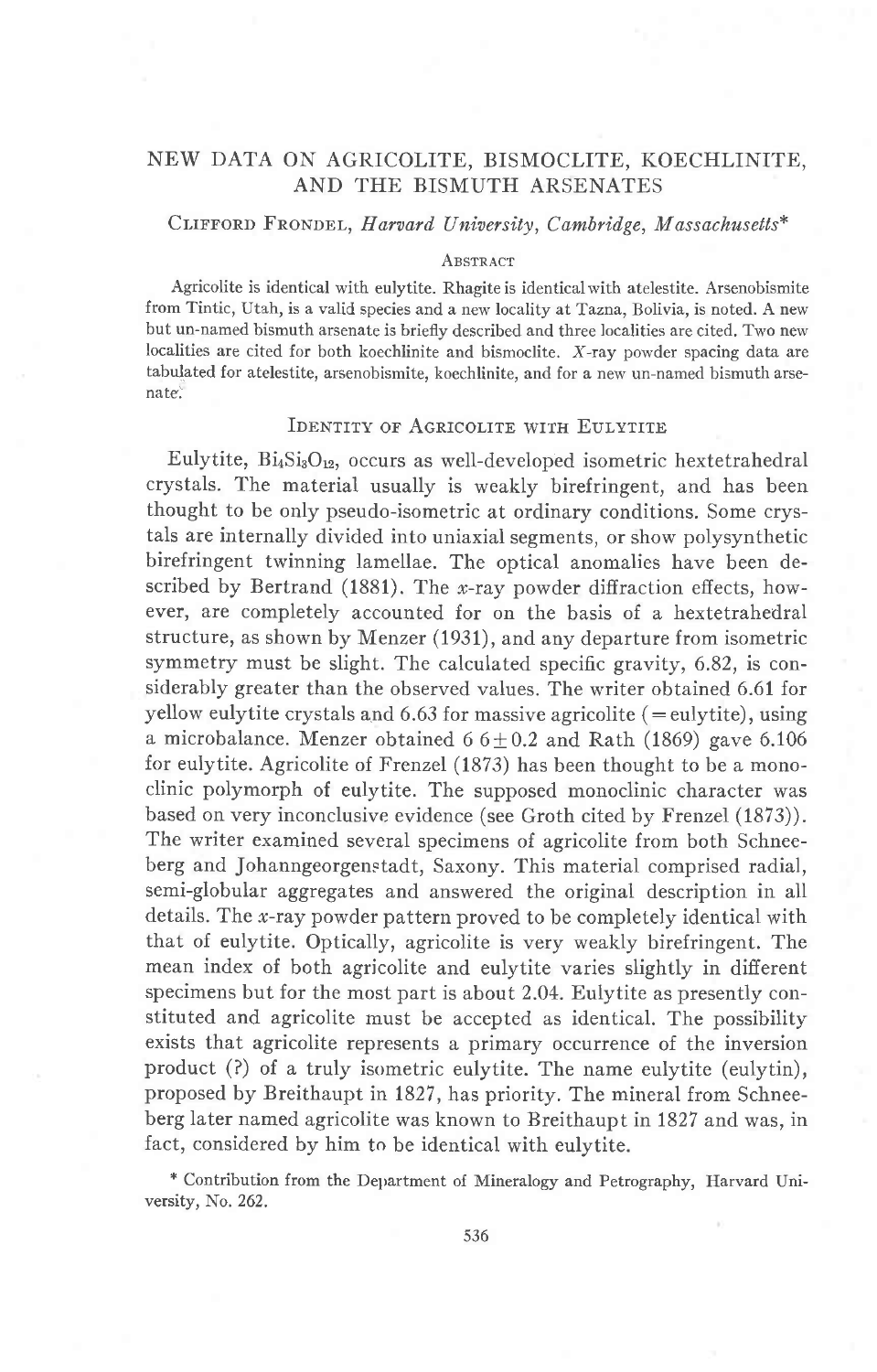# NEW DATA ON AGRICOLITE, BISMOCLITE, KOECHLINITE, AND THE BISMUTH ARSENATES

## CLIFFORD FRONDEL, Harvard University, Cambridge, Massachusetts\*

#### **ABSTRACT**

Agricolite is identical with eulytite. Rhagite is identical with atelestite. Arsenobismite from Tintic, Utah, is a valid species and a new locality at Tazna, Bolivia, is noted. A new but un-named bismuth arsenate is briefly described and three localities are cited. Two new localities are cited for both koechlinite and bismoclite. X-ray powder spacing data are tabulated for atelestite, arsenobismite. koechlinite. and for a new un-named bismuth arsenate.

## IDENTITY OF AGRICOLITE WITH EULYTITE

Eulytite,  $Bi_4Si_3O_{12}$ , occurs as well-developed isometric hextetrahedral crystals. The material usually is weakly birefringent, and has been thought to be only pseudo-isometric at ordinary conditions. Some crystals are internally divided into uniaxial segments, or show polysynthetic birefringent twinning lamellae. The optical anomalies have been described by Bertrand (1881). The *x*-ray powder diffraction effects, however, are completely accounted for on the basis of a hextetrahedral structure, as shown by Menzer (1931), and any departure from isometric symmetry must be slight. The calculated specific gravity, 6.82, is considerably greater than the observed values. The writer obtained 6.61 for yellow eulytite crystals and  $6.63$  for massive agricolite (= eulytite), using a microbalance. Menzer obtained  $66+0.2$  and Rath (1869) gave 6.106 for eulytite. Agricolite of Frenzel (1373) has been thought to be a monoclinic polymorph of eulytite. The supposed monoclinic character was based on very inconclusive evidence (see Groth cited by Frenzel (1873)). The writer examined several specimens of agricolite from both Schneeberg and Johanngeorgenstadt, Saxony. This material comprised radial, semi-globular aggregates and answered the original description in all details. The *x*-ray powder pattern proved to be completely identical with that of eulytite. Optically, agricolite is very weakly birefringent. The mean index of both agricolite and eulytite varies slightly in different specimens but for the most part is about 2.04. Eulytite as presently constituted and agricolite must be accepted as identical. The possibility exists that agricolite represents a primary occurrence of the inversion product (?) of a truly isometric eulytite. The name eulytite (eulytin), proposed by Breithaupt in 1827, has priority. The mineral from Schneeberg later named agricolite was known to Breithaupt in 1827 and was, in fact, considered by him to be identical with eulytite.

+ Contribution from the Delrartment of Mineralogy and Petrography, Harvard University, No. 262.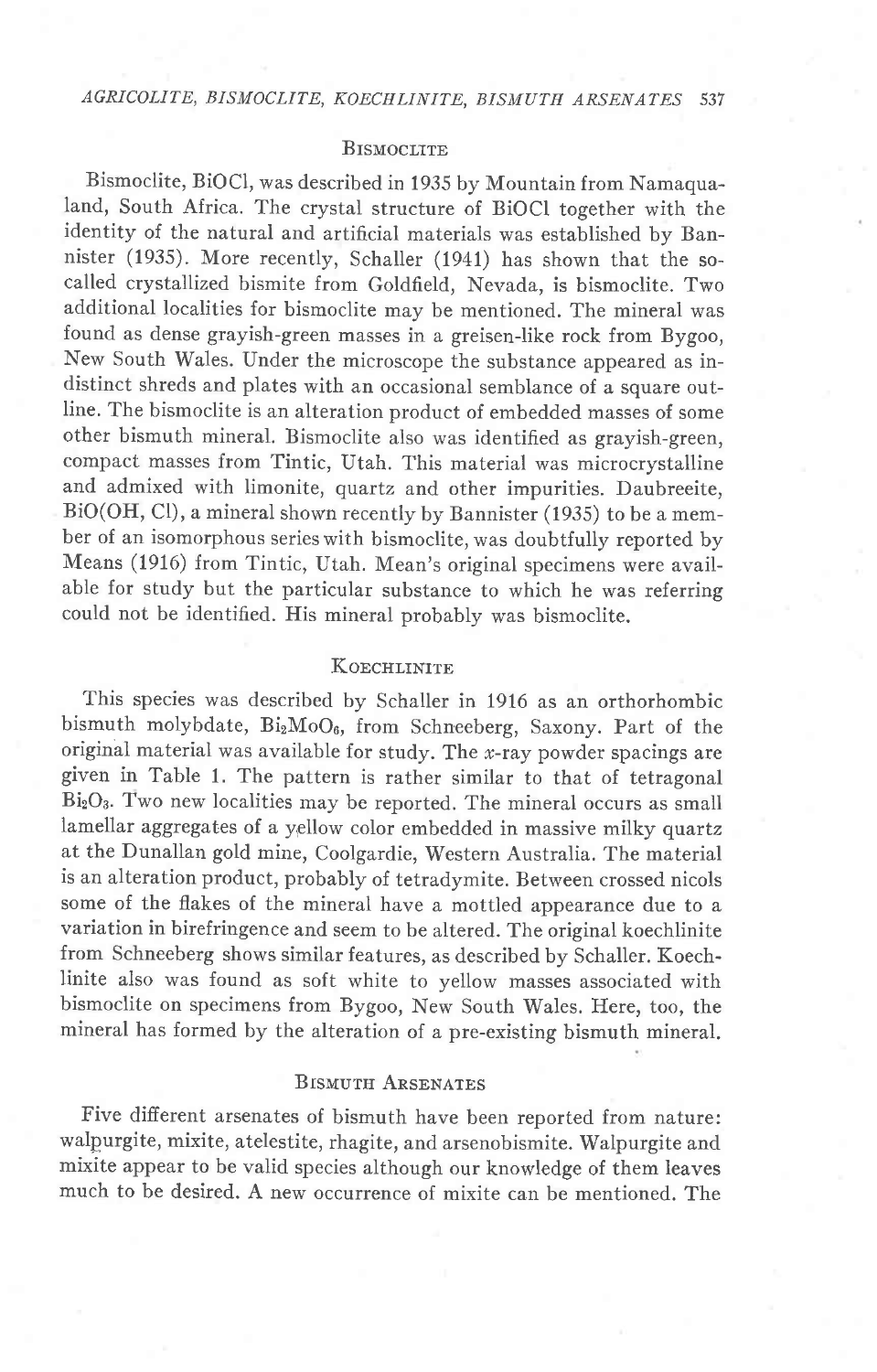### **BISMOCLITE**

Bismoclite, BiOCl, was described in 1935 by Mountain from Namaqualand, South Africa. The crystal structure of BiOCI together with the identity of the natural and artificial materials was established by Bannister (1935). More recently, Schaller (1941) has shown that the socalled crystallized bismite from Goldfield, Nevada, is bismoclite. Two additional localities for bismoclite may be mentioned. The mineral was found as dense grayish-green masses in a greisen-like rock from Bygoo, New South Wales. Under the microscope the substance appeared as indistinct shreds and plates with an occasional semblance of a square out-Iine. The bismoclite is an alteration product of embedded masses of some other bismuth mineral. Bismoclite also was identified as grayish-green, compact masses from Tintic, Utah. This material was microcrystalline and admixed with limonite, quartz and other impurities. Daubreeite, BiO(OH, Cl), a mineral shown recently by Bannister (1935) to be a member of an isomorphous serieswith bismoclite, was doubtfully reported by Means (1916) from Tintic, Utah. Mean's original specimens were available for study but the particular substance to which he was referring could not be identified. His mineral probably was bismoclite.

## KOECHLINITE

This species was described by Schaller in 1916 as an orthorhombic bismuth molybdate, BizMoOa, from Schneeberg, Saxony. Part of the original material was available for study. The  $x$ -ray powder spacings are given in Table 1. The pattern is rather similar to that of tetragonal BizOa. Two new localities may be reported. The mineral occurs as small lamellar aggregates of a yellow color embedded in massive milky quartz at the Dunallan gold mine, Coolgardie, Western Australia. The material is an alteration product, probably of tetradymite. Between crossed nicols some of the flakes of the mineral have a mottled appearance due to a. variation in birefringence and seem to be altered. The original koechlinite from Schneeberg shows similar features, as described by Schaller. Koechlinite also was found as soft white to yellow masses associated with bismoclite on specimens from Bygoo, New South Wales. Here, too, the mineral has formed by the alteration of a pre-existing bismuth mineral.

## BISMUTH ARSENATES

Five different arsenates of bismuth have been reported from nature: walpurgite, mixite, atelestite, rhagite, and arsenobismite. Walpurgite and mixite appear to be valid species although our knowledge of them leaves much to be desired. A new occurrence of mixite can be mentioned. The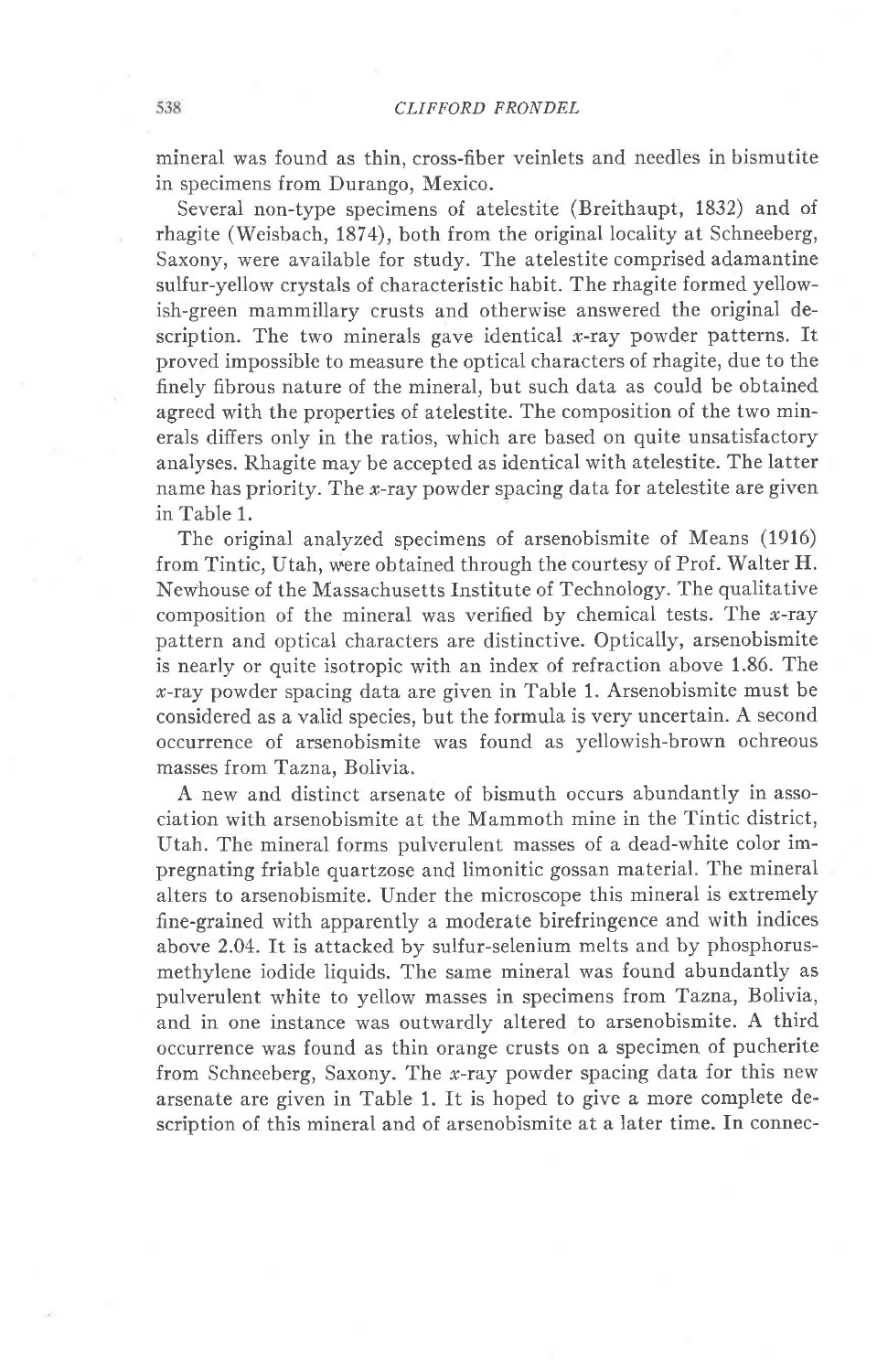mineral was found as thin, cross-fiber veinlets and needles in bismutite in specimens from Durango, Mexico.

Several non-type specimens of atelestite (Breithaupt, 1832) and of rhagite (Weisbach, 1874), both from the original locality at Schneeberg, Saxony, were available for study. The atelestite comprised adamantine sulfur-yellow crystals of characteristic habit. The rhagite formed yellowish-green mammillary crusts and otherwise answered the original description. The two minerals gave identical  $x$ -ray powder patterns. It proved impossible to measure the optical characters of rhagite, due to the finely fibrous nature of the mineral, but such data as could be obtained agreed with the properties of atelestite. The composition of the two minerals difiers only in the ratios, which are based on quite unsatisfactory analyses. Rhagite may be accepted as identical with atelestite. The latter name has priority. The  $x$ -ray powder spacing data for atelestite are given in Table 1.

The original analyzed specimens of arsenobismite of Means (1916) from Tintic, Utah, were obtained through the courtesy of Prof. Walter H. Newhouse of the Massachusetts Institute of Technology. The qualitative composition of the mineral was verified by chemical tests. The  $x$ -ray pattern and optical characters are distinctive. Optically, arsenobismite is nearly or quite isotropic with an index of refraction above 1.86. The  $x$ -ray powder spacing data are given in Table 1. Arsenobismite must be considered as a valid species, but the formula is very uncertain. A second occurrence of arsenobismite was found as yellowish-brown ochreous masses from Tazna, Bolivia.

A new and distinct arsenate of bismuth occurs abundantly in association with arsenobismite at the Mammoth mine in the Tintic district, Utah. The mineral forms pulverulent masses of a dead-white color impregnating friable quartzose and limonitic gossan material. The mineral alters to arsenobismite. Under the microscope this mineral is extremely fine-grained with apparently a moderate birefringence and with indices above 2.04. It is attacked by sulfur-selenium melts and by phosphorusmethylene iodide liquids. The same mineral was found abundantly as pulverulent white to yellow masses in specimens from Tazna, Bolivia, and in one instance was outwardly altered to arsenobismite. A third occurrence was found as thin orange crusts on a specimen of pucherite from Schneeberg, Saxony. The x-ray powder spacing data for this new arsenate are given in Table 1. It is hoped to give a more complete description of this mineral and of arsenobismite at a later time. In connec-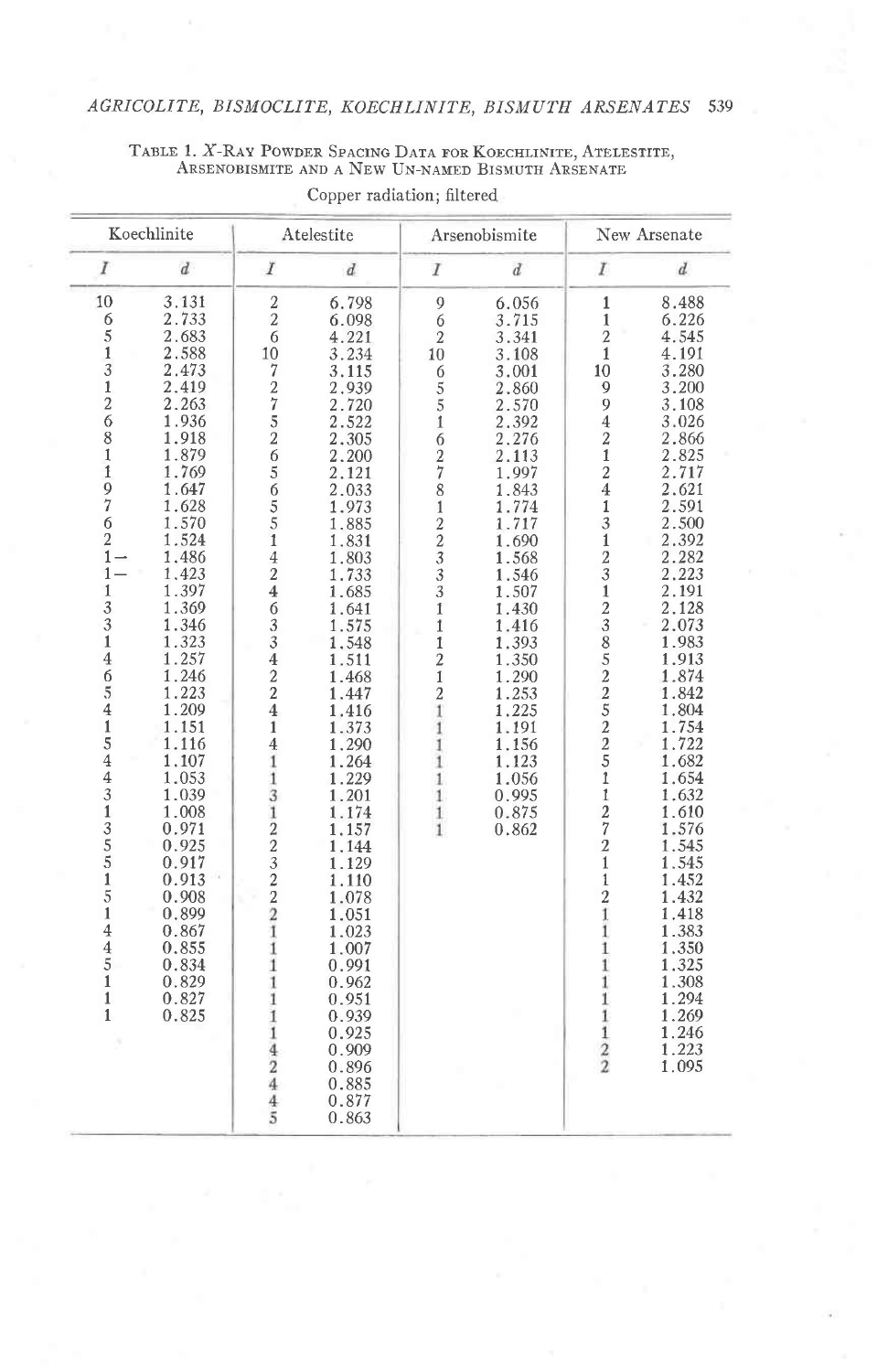# AGRICOLITE, BISMOCLITE, KOECHLINITE, BISMUTH ARSENATES 539

 ${\small\begin{array}{c} \texttt{TABLE 1, X-RAY POWDER SPACING DATA FOR KOECHLINKTE, ATELESTITE,} \texttt{AREENOBISMITE AND A NEW UN-NAMED BISMUTH ARSENATE} \end{array}}$ 

| Koechlinite                                                                                                                                                                                                                                                                                                                       |                                                                                                                                                                                                                                                                                                                                                                                                 | Atelestite                                                                                                                                                                                                                                                                                                                                                                                                                                                                        |                                                                                                                                                                                                                                                                                                                                                                                                                                                       | Arsenobismite                                                                                                                                                                                                                                                                                               |                                                                                                                                                                                                                                                                                              | New Arsenate                                                                                                                                                                                                                                                                                                                                                                                                                         |                                                                                                                                                                                                                                                                                                                                                                                                                            |
|-----------------------------------------------------------------------------------------------------------------------------------------------------------------------------------------------------------------------------------------------------------------------------------------------------------------------------------|-------------------------------------------------------------------------------------------------------------------------------------------------------------------------------------------------------------------------------------------------------------------------------------------------------------------------------------------------------------------------------------------------|-----------------------------------------------------------------------------------------------------------------------------------------------------------------------------------------------------------------------------------------------------------------------------------------------------------------------------------------------------------------------------------------------------------------------------------------------------------------------------------|-------------------------------------------------------------------------------------------------------------------------------------------------------------------------------------------------------------------------------------------------------------------------------------------------------------------------------------------------------------------------------------------------------------------------------------------------------|-------------------------------------------------------------------------------------------------------------------------------------------------------------------------------------------------------------------------------------------------------------------------------------------------------------|----------------------------------------------------------------------------------------------------------------------------------------------------------------------------------------------------------------------------------------------------------------------------------------------|--------------------------------------------------------------------------------------------------------------------------------------------------------------------------------------------------------------------------------------------------------------------------------------------------------------------------------------------------------------------------------------------------------------------------------------|----------------------------------------------------------------------------------------------------------------------------------------------------------------------------------------------------------------------------------------------------------------------------------------------------------------------------------------------------------------------------------------------------------------------------|
| I                                                                                                                                                                                                                                                                                                                                 | $\boldsymbol{d}$                                                                                                                                                                                                                                                                                                                                                                                | Ĭ                                                                                                                                                                                                                                                                                                                                                                                                                                                                                 | $\overline{d}$                                                                                                                                                                                                                                                                                                                                                                                                                                        | I                                                                                                                                                                                                                                                                                                           | $\boldsymbol{d}$                                                                                                                                                                                                                                                                             | T                                                                                                                                                                                                                                                                                                                                                                                                                                    | $\boldsymbol{d}$                                                                                                                                                                                                                                                                                                                                                                                                           |
| 10<br>65/3<br>$\frac{1}{2}$<br>$\overline{6}$<br>$\frac{8}{1}$<br>1976<br>$\overline{2}$<br>$1 -$<br>$1 -$<br>$1\,$<br>$\overline{3}$<br>$\begin{array}{c} 3 \\ 1 \\ 4 \\ 6 \end{array}$<br>$\frac{5}{5}$<br>41544313551<br>$\overline{5}$<br>$\mathbf{1}$<br>$\overline{4}$<br>$\frac{4}{5}$<br>$\mathbf{1}$<br>$\mathbf 1$<br>1 | 3.131<br>2.733<br>2.683<br>2.588<br>2.473<br>2.419<br>2.263<br>1.936<br>1.918<br>1.879<br>1.769<br>1.647<br>1.628<br>1.570<br>1.524<br>1.486<br>1.423<br>1.397<br>1.369<br>1.346<br>1.323<br>1.257<br>1.246<br>1.223<br>1.209<br>1.151<br>1.116<br>1.107<br>1.053<br>1.039<br>1.008<br>0.971<br>0.925<br>0.917<br>0.913<br>0.908<br>0.899<br>0.867<br>0.855<br>0.834<br>0.829<br>0.827<br>0.825 | $\overline{2}$<br>$\overline{2}$<br>6<br>10<br>$\overline{7}$<br>$\frac{2}{7}$<br>$\frac{1}{5}$<br>$\frac{2}{6}$<br>$\begin{array}{c}\n56 \\ 55\n\end{array}$<br>$\check{1}$<br>$\overline{4}$<br>$\overline{c}$<br>$\overline{\mathbf{4}}$<br>6<br>$\overline{3}$<br>3<br>$\overline{4}$<br>$\overline{2}$<br>$\overline{c}$<br>$\overline{4}$<br>$\mathbf{1}$<br>4<br>1<br>1<br>3<br>1<br>22322<br>Ï<br>1<br>1<br>1<br>1<br>1<br>1<br>$\overline{4}$<br>$\frac{2}{4}$<br>4<br>5 | 6.798<br>6.098<br>4.221<br>3.234<br>3.115<br>2.939<br>2.720<br>2.522<br>2.305<br>2.200<br>2.121<br>2.033<br>1.973<br>1.885<br>1.831<br>1.803<br>1.733<br>1.685<br>1.641<br>1.575<br>1.548<br>1.511<br>1.468<br>1.447<br>1.416<br>1.373<br>1.290<br>1.264<br>1.229<br>1.201<br>1.174<br>1.157<br>1.144<br>1.129<br>1.110<br>1.078<br>1.051<br>1.023<br>1.007<br>0.991<br>0.962<br>0.951<br>0.939<br>0.925<br>0.909<br>0.896<br>0.885<br>0.877<br>0.863 | 9<br>6<br>$\overline{c}$<br>10<br>$\begin{array}{c} 6 \\ 5 \end{array}$<br>5<br>$\mathbf{1}$<br>$\overline{6}$<br>$\frac{2}{7}$<br>$\bar{8}$<br>$\mathbf{1}$<br>$22333$<br>$331$<br>$\mathbf{1}$<br>$\frac{1}{2}$<br>$\frac{1}{2}$<br>$\mathbf{1}$<br>1<br>1<br>1<br>$\mathbf{1}$<br>1<br>1<br>$\mathbf{1}$ | 6.056<br>3.715<br>3.341<br>3.108<br>3.001<br>2.860<br>2.570<br>2.392<br>2.276<br>2.113<br>1.997<br>1.843<br>1.774<br>1.717<br>1.690<br>1.568<br>1.546<br>1.507<br>1.430<br>1.416<br>1.393<br>1.350<br>1.290<br>1.253<br>1.225<br>1.191<br>1.156<br>1.123<br>1.056<br>0.995<br>0.875<br>0.862 | $\,1\,$<br>$\mathbf{1}$<br>$\overline{a}$<br>1<br>10<br>9<br>9<br>$\overline{4}$<br>$\frac{2}{1}$<br>$\overline{2}$<br>$\overline{4}$<br>$\frac{1}{3}$<br>$\check{1}$<br>$\overline{2}$<br>$\overline{3}$<br>12385225225<br>$\mathbf{1}$<br>$\mathbf{1}$<br>$\overline{a}$<br>$\overline{7}$<br>$\frac{1}{2}$<br>$\mathbf{1}$<br>$\mathbf{1}$<br>$\frac{2}{1}$<br>ï<br>$\overline{1}$<br>1<br>1<br>1<br>1<br>$\,$ 1<br>$\frac{2}{2}$ | 8.488<br>6.226<br>4.545<br>4.191<br>3.280<br>3.200<br>3.108<br>3.026<br>2.866<br>2.825<br>2.717<br>2.621<br>2.591<br>2.500<br>2.392<br>2.282<br>2.223<br>2.191<br>2.128<br>2.073<br>1.983<br>1.913<br>1.874<br>1.842<br>1.804<br>1.754<br>1.722<br>1.682<br>1.654<br>1.632<br>1.610<br>1.576<br>1.545<br>1.545<br>1.452<br>1.432<br>1.418<br>1.383<br>1.350<br>1.325<br>1.308<br>1.294<br>1.269<br>1.246<br>1.223<br>1.095 |

Copper radiation; filtered